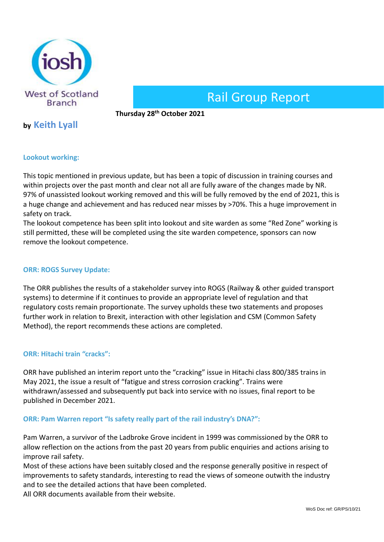

# Rail Group Report

**Thursday 28th October 2021** 

## **by Keith Lyall**

### **Lookout working:**

This topic mentioned in previous update, but has been a topic of discussion in training courses and within projects over the past month and clear not all are fully aware of the changes made by NR. 97% of unassisted lookout working removed and this will be fully removed by the end of 2021, this is a huge change and achievement and has reduced near misses by >70%. This a huge improvement in safety on track.

The lookout competence has been split into lookout and site warden as some "Red Zone" working is still permitted, these will be completed using the site warden competence, sponsors can now remove the lookout competence.

#### **ORR: ROGS Survey Update:**

The ORR publishes the results of a stakeholder survey into ROGS (Railway & other guided transport systems) to determine if it continues to provide an appropriate level of regulation and that regulatory costs remain proportionate. The survey upholds these two statements and proposes further work in relation to Brexit, interaction with other legislation and CSM (Common Safety Method), the report recommends these actions are completed.

#### **ORR: Hitachi train "cracks":**

ORR have published an interim report unto the "cracking" issue in Hitachi class 800/385 trains in May 2021, the issue a result of "fatigue and stress corrosion cracking". Trains were withdrawn/assessed and subsequently put back into service with no issues, final report to be published in December 2021.

#### **ORR: Pam Warren report "Is safety really part of the rail industry's DNA?":**

Pam Warren, a survivor of the Ladbroke Grove incident in 1999 was commissioned by the ORR to allow reflection on the actions from the past 20 years from public enquiries and actions arising to improve rail safety.

Most of these actions have been suitably closed and the response generally positive in respect of improvements to safety standards, interesting to read the views of someone outwith the industry and to see the detailed actions that have been completed.

All ORR documents available from their website.